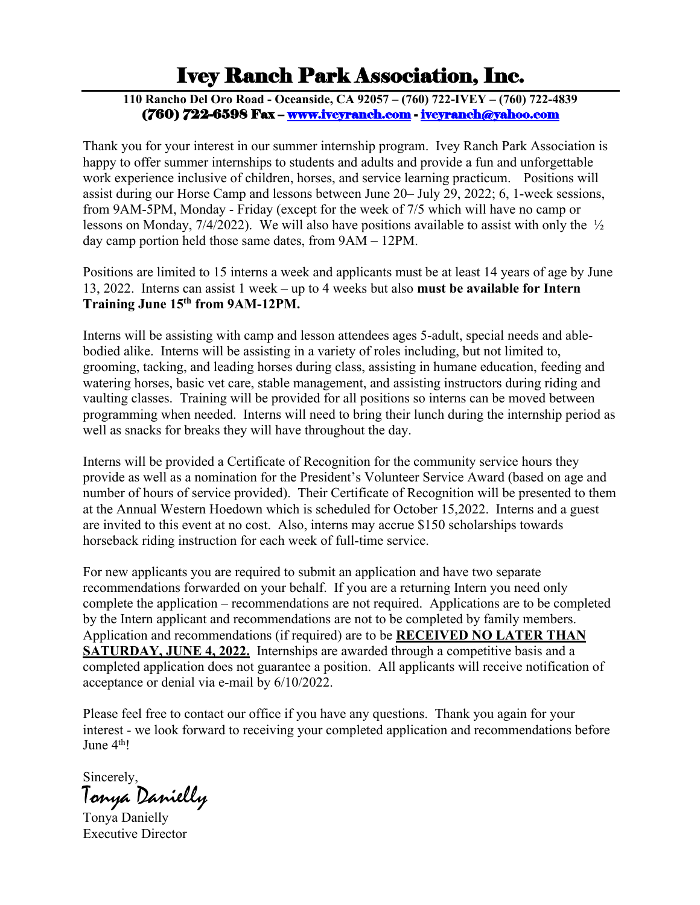# Ivey Ranch Park Association, Inc.

**110 Rancho Del Oro Road - Oceanside, CA 92057 – (760) 722-IVEY – (760) 722-4839** (760) 722-6598 Fax – www.iveyranch.com - iveyranch@yahoo.com

Thank you for your interest in our summer internship program. Ivey Ranch Park Association is happy to offer summer internships to students and adults and provide a fun and unforgettable work experience inclusive of children, horses, and service learning practicum. Positions will assist during our Horse Camp and lessons between June 20– July 29, 2022; 6, 1-week sessions, from 9AM-5PM, Monday - Friday (except for the week of 7/5 which will have no camp or lessons on Monday, 7/4/2022). We will also have positions available to assist with only the ½ day camp portion held those same dates, from 9AM – 12PM.

Positions are limited to 15 interns a week and applicants must be at least 14 years of age by June 13, 2022. Interns can assist 1 week – up to 4 weeks but also **must be available for Intern Training June 15th from 9AM-12PM.** 

Interns will be assisting with camp and lesson attendees ages 5-adult, special needs and ablebodied alike. Interns will be assisting in a variety of roles including, but not limited to, grooming, tacking, and leading horses during class, assisting in humane education, feeding and watering horses, basic vet care, stable management, and assisting instructors during riding and vaulting classes. Training will be provided for all positions so interns can be moved between programming when needed. Interns will need to bring their lunch during the internship period as well as snacks for breaks they will have throughout the day.

Interns will be provided a Certificate of Recognition for the community service hours they provide as well as a nomination for the President's Volunteer Service Award (based on age and number of hours of service provided). Their Certificate of Recognition will be presented to them at the Annual Western Hoedown which is scheduled for October 15,2022. Interns and a guest are invited to this event at no cost. Also, interns may accrue \$150 scholarships towards horseback riding instruction for each week of full-time service.

For new applicants you are required to submit an application and have two separate recommendations forwarded on your behalf. If you are a returning Intern you need only complete the application – recommendations are not required. Applications are to be completed by the Intern applicant and recommendations are not to be completed by family members. Application and recommendations (if required) are to be **RECEIVED NO LATER THAN SATURDAY, JUNE 4, 2022.** Internships are awarded through a competitive basis and a completed application does not guarantee a position. All applicants will receive notification of acceptance or denial via e-mail by 6/10/2022.

Please feel free to contact our office if you have any questions. Thank you again for your interest - we look forward to receiving your completed application and recommendations before June 4<sup>th</sup>!

Sincerely,

Tonya Danielly

Tonya Danielly Executive Director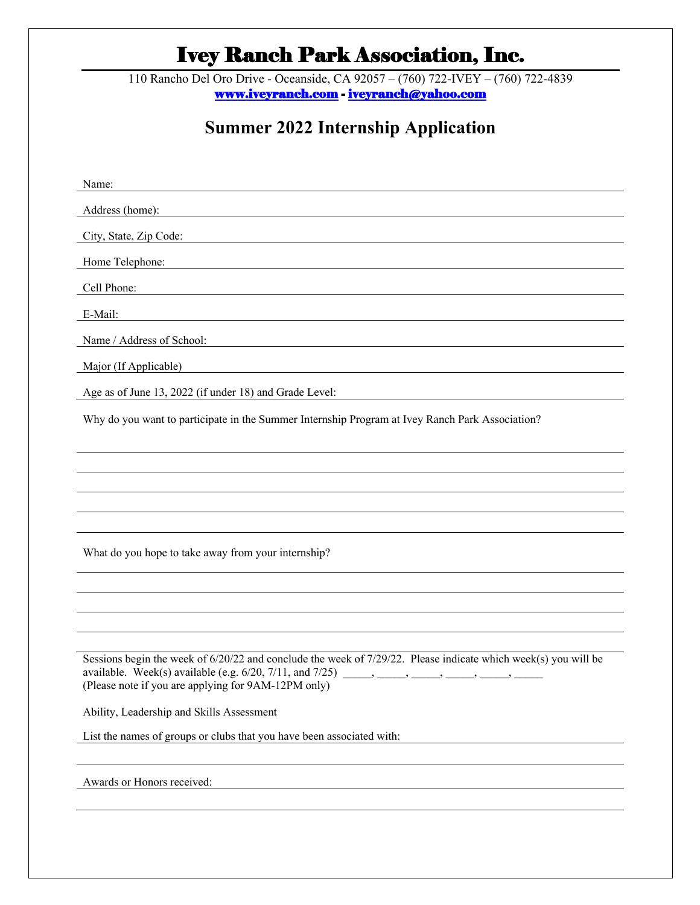# Ivey Ranch Park Association, Inc.

110 Rancho Del Oro Drive - Oceanside, CA 92057 – (760) 722-IVEY – (760) 722-4839 www.iveyranch.com - iveyranch@yahoo.com

# **Summer 2022 Internship Application**

| Name:                                                                                                                                |  |  |  |
|--------------------------------------------------------------------------------------------------------------------------------------|--|--|--|
| Address (home):                                                                                                                      |  |  |  |
| City, State, Zip Code:                                                                                                               |  |  |  |
| Home Telephone:                                                                                                                      |  |  |  |
| Cell Phone:<br><u>and the state of the state of the state of the state of the state of the state of the state of the state of th</u> |  |  |  |
| E-Mail:                                                                                                                              |  |  |  |
| Name / Address of School:                                                                                                            |  |  |  |
| Major (If Applicable)                                                                                                                |  |  |  |
| Age as of June 13, 2022 (if under 18) and Grade Level:                                                                               |  |  |  |
| Why do you want to participate in the Summer Internship Program at Ivey Ranch Park Association?                                      |  |  |  |
|                                                                                                                                      |  |  |  |
|                                                                                                                                      |  |  |  |
|                                                                                                                                      |  |  |  |
|                                                                                                                                      |  |  |  |
| What do you hope to take away from your internship?                                                                                  |  |  |  |
|                                                                                                                                      |  |  |  |
|                                                                                                                                      |  |  |  |
|                                                                                                                                      |  |  |  |
| Sessions begin the week of 6/20/22 and conclude the week of 7/29/22. Please indicate which week(s) you will be                       |  |  |  |
| (Please note if you are applying for 9AM-12PM only)                                                                                  |  |  |  |
|                                                                                                                                      |  |  |  |
| Ability, Leadership and Skills Assessment<br>List the names of groups or clubs that you have been associated with:                   |  |  |  |
|                                                                                                                                      |  |  |  |
| Awards or Honors received:                                                                                                           |  |  |  |
|                                                                                                                                      |  |  |  |
|                                                                                                                                      |  |  |  |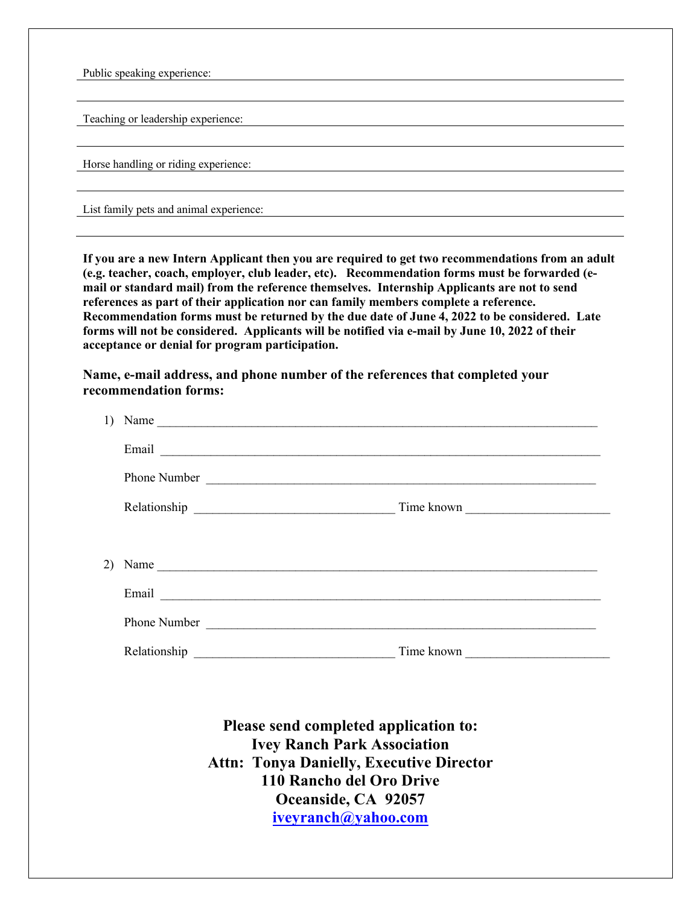Public speaking experience:

Teaching or leadership experience:

Horse handling or riding experience:

List family pets and animal experience:

**If you are a new Intern Applicant then you are required to get two recommendations from an adult (e.g. teacher, coach, employer, club leader, etc). Recommendation forms must be forwarded (email or standard mail) from the reference themselves. Internship Applicants are not to send references as part of their application nor can family members complete a reference. Recommendation forms must be returned by the due date of June 4, 2022 to be considered. Late forms will not be considered. Applicants will be notified via e-mail by June 10, 2022 of their acceptance or denial for program participation.**

**Name, e-mail address, and phone number of the references that completed your recommendation forms:**

|    | 1) Name                                                                                                                                                                                                                             |            |
|----|-------------------------------------------------------------------------------------------------------------------------------------------------------------------------------------------------------------------------------------|------------|
|    |                                                                                                                                                                                                                                     |            |
|    |                                                                                                                                                                                                                                     |            |
|    |                                                                                                                                                                                                                                     | Time known |
|    |                                                                                                                                                                                                                                     |            |
| 2) | Name                                                                                                                                                                                                                                |            |
|    |                                                                                                                                                                                                                                     |            |
|    | Phone Number <u>and</u> the state of the state of the state of the state of the state of the state of the state of the state of the state of the state of the state of the state of the state of the state of the state of the stat |            |
|    |                                                                                                                                                                                                                                     | Time known |

**Please send completed application to: Ivey Ranch Park Association Attn: Tonya Danielly, Executive Director 110 Rancho del Oro Drive Oceanside, CA 92057 iveyranch@yahoo.com**